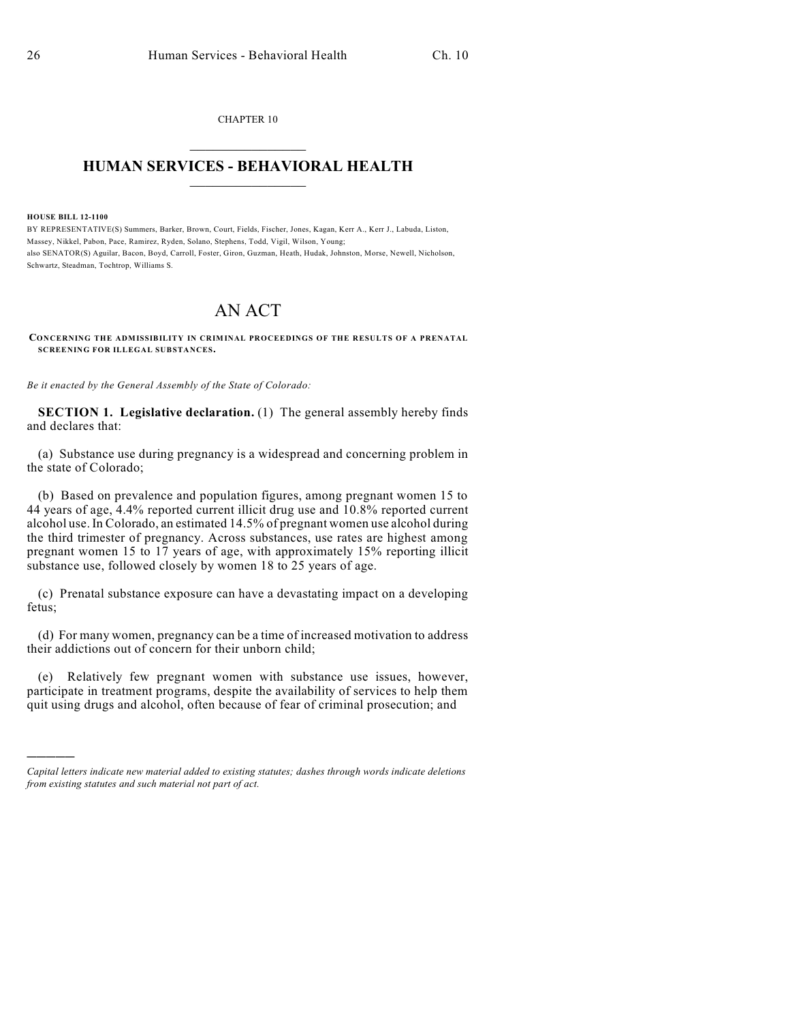CHAPTER 10  $\overline{\phantom{a}}$  . The set of the set of the set of the set of the set of the set of the set of the set of the set of the set of the set of the set of the set of the set of the set of the set of the set of the set of the set o

## **HUMAN SERVICES - BEHAVIORAL HEALTH**  $\frac{1}{2}$  ,  $\frac{1}{2}$  ,  $\frac{1}{2}$  ,  $\frac{1}{2}$  ,  $\frac{1}{2}$  ,  $\frac{1}{2}$  ,  $\frac{1}{2}$

## **HOUSE BILL 12-1100**

)))))

BY REPRESENTATIVE(S) Summers, Barker, Brown, Court, Fields, Fischer, Jones, Kagan, Kerr A., Kerr J., Labuda, Liston, Massey, Nikkel, Pabon, Pace, Ramirez, Ryden, Solano, Stephens, Todd, Vigil, Wilson, Young; also SENATOR(S) Aguilar, Bacon, Boyd, Carroll, Foster, Giron, Guzman, Heath, Hudak, Johnston, Morse, Newell, Nicholson, Schwartz, Steadman, Tochtrop, Williams S.

## AN ACT

**CONCERNING THE ADMISSIBILITY IN CRIMINAL PROCEEDINGS OF THE RESULTS OF A PRENATAL SCREENING FOR ILLEGAL SUBSTANCES.**

*Be it enacted by the General Assembly of the State of Colorado:*

**SECTION 1. Legislative declaration.** (1) The general assembly hereby finds and declares that:

(a) Substance use during pregnancy is a widespread and concerning problem in the state of Colorado;

(b) Based on prevalence and population figures, among pregnant women 15 to 44 years of age, 4.4% reported current illicit drug use and 10.8% reported current alcohol use. In Colorado, an estimated 14.5% of pregnant women use alcohol during the third trimester of pregnancy. Across substances, use rates are highest among pregnant women 15 to 17 years of age, with approximately 15% reporting illicit substance use, followed closely by women 18 to 25 years of age.

(c) Prenatal substance exposure can have a devastating impact on a developing fetus;

(d) For many women, pregnancy can be a time of increased motivation to address their addictions out of concern for their unborn child;

(e) Relatively few pregnant women with substance use issues, however, participate in treatment programs, despite the availability of services to help them quit using drugs and alcohol, often because of fear of criminal prosecution; and

*Capital letters indicate new material added to existing statutes; dashes through words indicate deletions from existing statutes and such material not part of act.*